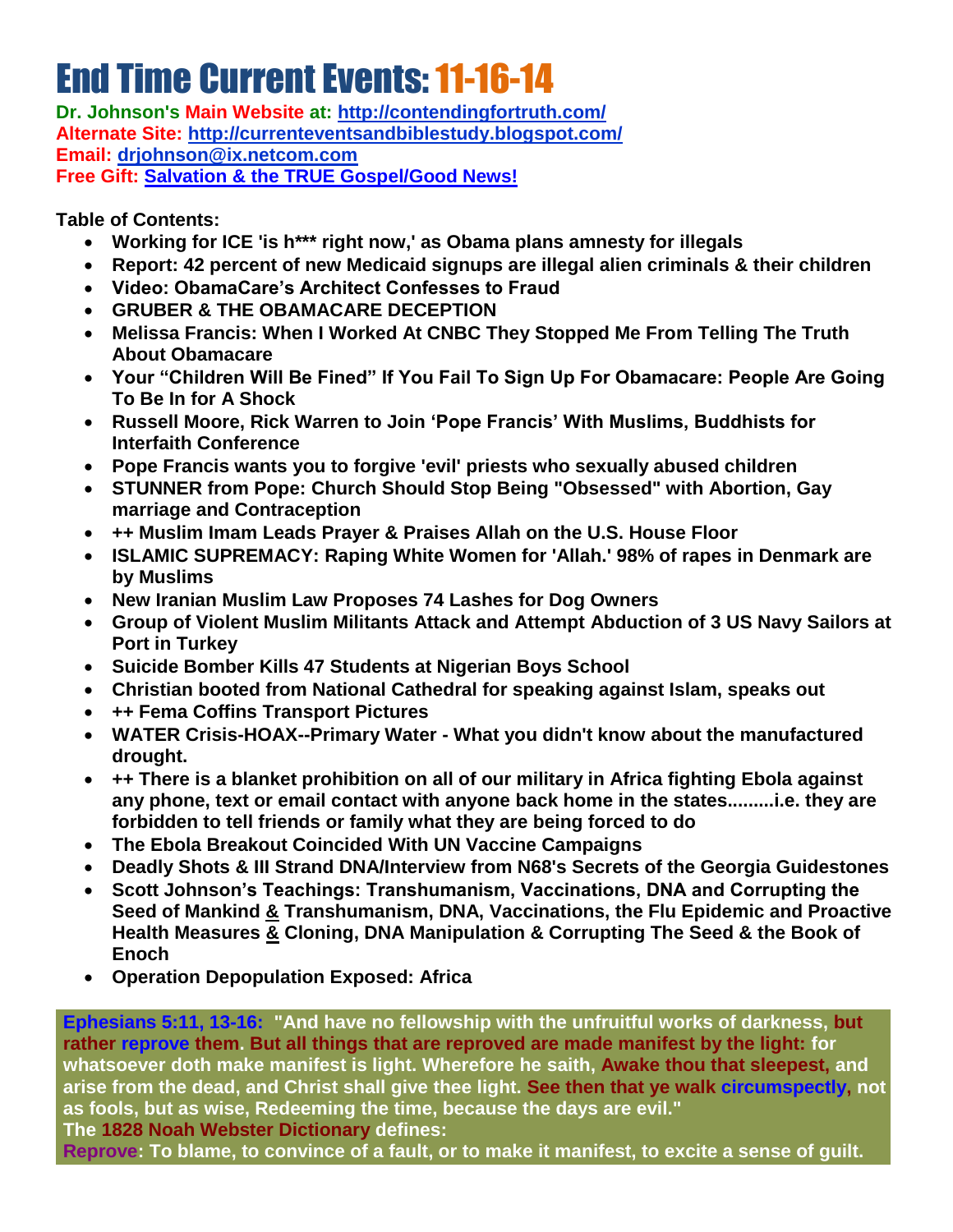# **End Time Current Events: 11-16-14**

**Dr. Johnson's Main Website at:<http://contendingfortruth.com/> Alternate Site: <http://currenteventsandbiblestudy.blogspot.com/> Email: [drjohnson@ix.netcom.com](mailto:drjohnson@ix.netcom.com) Free Gift: [Salvation & the TRUE Gospel/Good News!](http://www.contendingfortruth.com/?cat=98)**

**Table of Contents:** 

- **Working for ICE 'is h\*\*\* right now,' as Obama plans amnesty for illegals**
- **Report: 42 percent of new Medicaid signups are illegal alien criminals & their children**
- **Video: ObamaCare's Architect Confesses to Fraud**
- **GRUBER & THE OBAMACARE DECEPTION**
- **Melissa Francis: When I Worked At CNBC They Stopped Me From Telling The Truth About Obamacare**
- **Your "Children Will Be Fined" If You Fail To Sign Up For Obamacare: People Are Going To Be In for A Shock**
- **Russell Moore, Rick Warren to Join 'Pope Francis' With Muslims, Buddhists for Interfaith Conference**
- **Pope Francis wants you to forgive 'evil' priests who sexually abused children**
- **STUNNER from Pope: Church Should Stop Being "Obsessed" with Abortion, Gay marriage and Contraception**
- **++ Muslim Imam Leads Prayer & Praises Allah on the U.S. House Floor**
- **ISLAMIC SUPREMACY: Raping White Women for 'Allah.' 98% of rapes in Denmark are by Muslims**
- **New Iranian Muslim Law Proposes 74 Lashes for Dog Owners**
- **Group of Violent Muslim Militants Attack and Attempt Abduction of 3 US Navy Sailors at Port in Turkey**
- **Suicide Bomber Kills 47 Students at Nigerian Boys School**
- **Christian booted from National Cathedral for speaking against Islam, speaks out**
- **++ Fema Coffins Transport Pictures**
- **WATER Crisis-HOAX--Primary Water - What you didn't know about the manufactured drought.**
- **++ There is a blanket prohibition on all of our military in Africa fighting Ebola against any phone, text or email contact with anyone back home in the states.........i.e. they are forbidden to tell friends or family what they are being forced to do**
- **The Ebola Breakout Coincided With UN Vaccine Campaigns**
- **Deadly Shots & III Strand DNA/Interview from N68's Secrets of the Georgia Guidestones**
- **Scott Johnson's Teachings: Transhumanism, Vaccinations, DNA and Corrupting the Seed of Mankind & Transhumanism, DNA, Vaccinations, the Flu Epidemic and Proactive Health Measures & Cloning, DNA Manipulation & Corrupting The Seed & the Book of Enoch**
- **Operation Depopulation Exposed: Africa**

**Ephesians 5:11, 13-16: "And have no fellowship with the unfruitful works of darkness, but rather reprove them. But all things that are reproved are made manifest by the light: for whatsoever doth make manifest is light. Wherefore he saith, Awake thou that sleepest, and arise from the dead, and Christ shall give thee light. See then that ye walk circumspectly, not as fools, but as wise, Redeeming the time, because the days are evil." The 1828 Noah Webster Dictionary defines:**

**Reprove: To blame, to convince of a fault, or to make it manifest, to excite a sense of guilt.**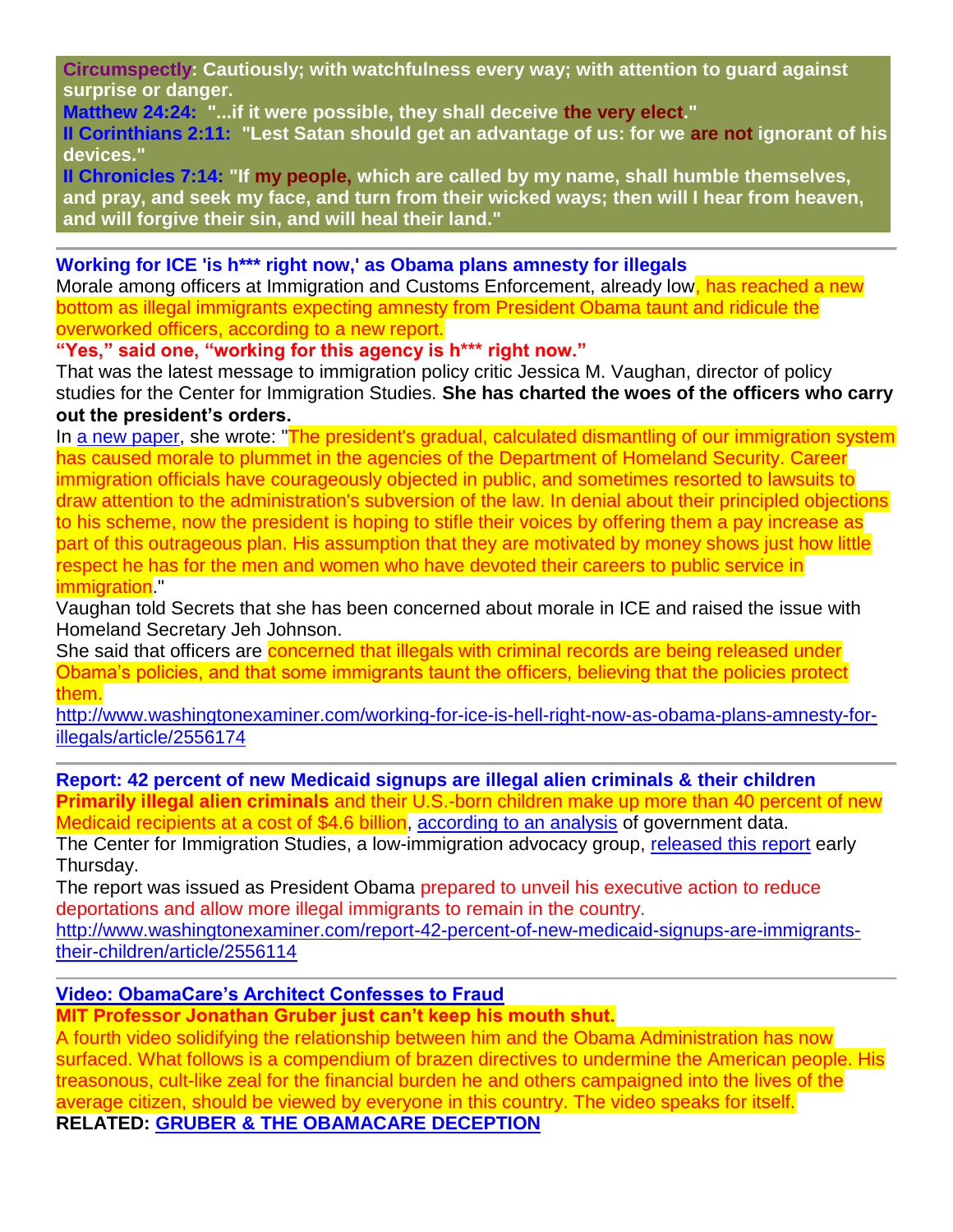**Circumspectly: Cautiously; with watchfulness every way; with attention to guard against surprise or danger.**

**Matthew 24:24: "...if it were possible, they shall deceive the very elect."** 

**II Corinthians 2:11: "Lest Satan should get an advantage of us: for we are not ignorant of his devices."** 

**II Chronicles 7:14: "If my people, which are called by my name, shall humble themselves, and pray, and seek my face, and turn from their wicked ways; then will I hear from heaven, and will forgive their sin, and will heal their land."**

**Working for ICE 'is h\*\*\* right now,' as Obama plans amnesty for illegals**

Morale among officers at Immigration and Customs Enforcement, already low<mark>, has reached a new</mark> bottom as illegal immigrants expecting amnesty from President Obama taunt and ridicule the overworked officers, according to a new report.

**"Yes," said one, "working for this agency is h\*\*\* right now."**

That was the latest message to immigration policy critic Jessica M. Vaughan, director of policy studies for the Center for Immigration Studies. **She has charted the woes of the officers who carry out the president's orders.**

In [a new paper,](http://cis.org/vaughan/president-will-ignore-democratic-process-and-amnesty-5-million) she wrote: "The president's gradual, calculated dismantling of our immigration system has caused morale to plummet in the agencies of the Department of Homeland Security. Career immigration officials have courageously objected in public, and sometimes resorted to lawsuits to draw attention to the administration's subversion of the law. In denial about their principled objections to his scheme, now the president is hoping to stifle their voices by offering them a pay increase as part of this outrageous plan. His assumption that they are motivated by money shows just how little respect he has for the men and women who have devoted their careers to public service in immigration."

Vaughan told Secrets that she has been concerned about morale in ICE and raised the issue with Homeland Secretary Jeh Johnson.

She said that officers are concerned that illegals with criminal records are being released under Obama's policies, and that some immigrants taunt the officers, believing that the policies protect them.

[http://www.washingtonexaminer.com/working-for-ice-is-hell-right-now-as-obama-plans-amnesty-for](http://www.washingtonexaminer.com/working-for-ice-is-hell-right-now-as-obama-plans-amnesty-for-illegals/article/2556174)[illegals/article/2556174](http://www.washingtonexaminer.com/working-for-ice-is-hell-right-now-as-obama-plans-amnesty-for-illegals/article/2556174) 

**Report: 42 percent of new Medicaid signups are illegal alien criminals & their children Primarily illegal alien criminals** and their U.S.-born children make up more than 40 percent of new Medicaid recipients at a cost of \$4.6 billion, [according to an analysis](http://cis.org/immigrant-families-accounted-for-42-percent-of-medicaid-growth-since-2011) of government data.

The Center for Immigration Studies, a low-immigration advocacy group, [released this](http://www.luminpdf.com/files/7954659/camarota-medicaid.pdf) report early Thursday.

The report was issued as President Obama prepared to unveil his executive action to reduce deportations and allow more illegal immigrants to remain in the country.

[http://www.washingtonexaminer.com/report-42-percent-of-new-medicaid-signups-are-immigrants](http://www.washingtonexaminer.com/report-42-percent-of-new-medicaid-signups-are-immigrants-their-children/article/2556114)[their-children/article/2556114](http://www.washingtonexaminer.com/report-42-percent-of-new-medicaid-signups-are-immigrants-their-children/article/2556114)

### **[Video: ObamaCare's Architect Confesses to Fraud](http://www.infowars.com/video-obamacares-architect-confesses-to-fraud/)**

**MIT Professor Jonathan Gruber just can't keep his mouth shut.**

A fourth video solidifying the relationship between him and the Obama Administration has now surfaced. What follows is a compendium of brazen directives to undermine the American people. His treasonous, cult-like zeal for the financial burden he and others campaigned into the lives of the average citizen, should be viewed by everyone in this country. The video speaks for itself. **RELATED: GRUBER & THE [OBAMACARE DECEPTION](http://www.infowars.com/grubers-goobers-obamacare-deception/)**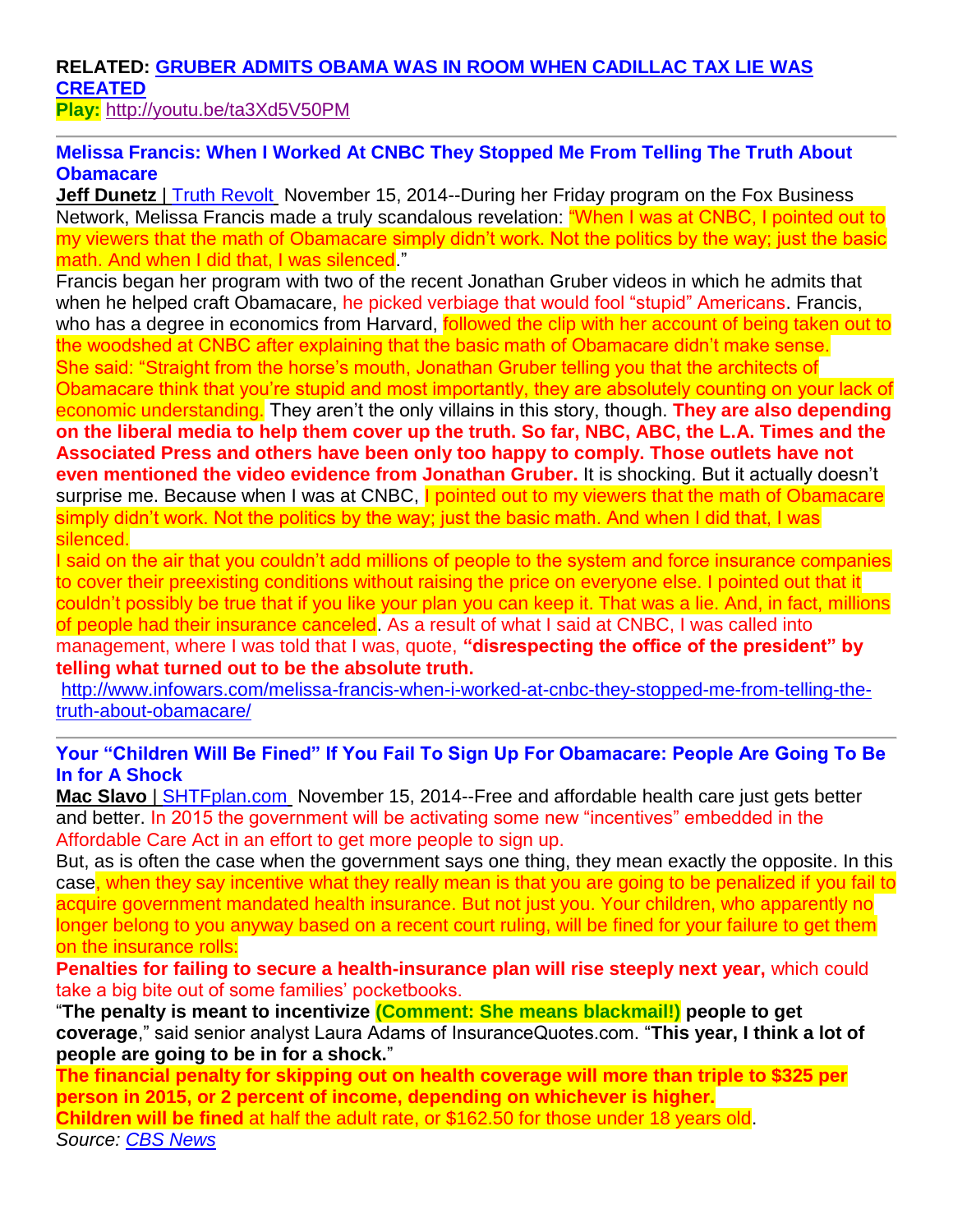# **RELATED: [GRUBER ADMITS OBAMA WAS IN ROOM WHEN CADILLAC TAX LIE WAS](http://www.infowars.com/gruber-admits-obama-was-in-room-when-cadillac-tax-lie-created/)  [CREATED](http://www.infowars.com/gruber-admits-obama-was-in-room-when-cadillac-tax-lie-created/)**

**Play:** <http://youtu.be/ta3Xd5V50PM>

## **Melissa Francis: When I Worked At CNBC They Stopped Me From Telling The Truth About Obamacare**

**Jeff Dunetz** | [Truth Revolt](http://www.truthrevolt.org/news/melissa-francis-when-i-worked-cnbc-they-stopped-me-telling-truth-about-obamacare) November 15, 2014--During her Friday program on the Fox Business Network, Melissa Francis made a truly scandalous revelation: "When I was at CNBC, I pointed out to my viewers that the math of Obamacare simply didn't work. Not the politics by the way; just the basic math. And when I did that, I was silenced."

Francis began her program with two of the recent Jonathan Gruber videos in which he admits that when he helped craft Obamacare, he picked verbiage that would fool "stupid" Americans. Francis, who has a degree in economics from Harvard, followed the clip with her account of being taken out to the woodshed at CNBC after explaining that the basic math of Obamacare didn't make sense. She said: "Straight from the horse's mouth, Jonathan Gruber telling you that the architects of Obamacare think that you're stupid and most importantly, they are absolutely counting on your lack of economic understanding. They aren't the only villains in this story, though. **They are also depending on the liberal media to help them cover up the truth. So far, NBC, ABC, the L.A. Times and the Associated Press and others have been only too happy to comply. Those outlets have not even mentioned the video evidence from Jonathan Gruber.** It is shocking. But it actually doesn't surprise me. Because when I was at CNBC, I pointed out to my viewers that the math of Obamacare simply didn't work. Not the politics by the way; just the basic math. And when I did that, I was silenced.

I said on the air that you couldn't add millions of people to the system and force insurance companies to cover their preexisting conditions without raising the price on everyone else. I pointed out that it couldn't possibly be true that if you like your plan you can keep it. That was a lie. And, in fact, millions of people had their insurance canceled. As a result of what I said at CNBC, I was called into management, where I was told that I was, quote, **"disrespecting the office of the president" by telling what turned out to be the absolute truth.**

[http://www.infowars.com/melissa-francis-when-i-worked-at-cnbc-they-stopped-me-from-telling-the](http://www.infowars.com/melissa-francis-when-i-worked-at-cnbc-they-stopped-me-from-telling-the-truth-about-obamacare/)[truth-about-obamacare/](http://www.infowars.com/melissa-francis-when-i-worked-at-cnbc-they-stopped-me-from-telling-the-truth-about-obamacare/)

## **Your "Children Will Be Fined" If You Fail To Sign Up For Obamacare: People Are Going To Be In for A Shock**

**Mac Slavo** | [SHTFplan.com](http://www.shtfplan.com/headline-news/your-children-will-be-fined-if-you-fail-to-sign-up-for-obamacare-people-are-going-to-be-in-for-a-shock_11142014) November 15, 2014--Free and affordable health care just gets better and better. In 2015 the government will be activating some new "incentives" embedded in the Affordable Care Act in an effort to get more people to sign up.

But, as is often the case when the government says one thing, they mean exactly the opposite. In this case, when they say incentive what they really mean is that you are going to be penalized if you fail to acquire government mandated health insurance. But not just you. Your children, who apparently no longer belong to you anyway based on a recent court ruling, will be fined for your failure to get them on the insurance rolls:

**Penalties for failing to secure a health-insurance plan will rise steeply next year,** which could take a big bite out of some families' pocketbooks.

"**The penalty is meant to incentivize (Comment: She means blackmail!) people to get coverage**," said senior analyst Laura Adams of InsuranceQuotes.com. "**This year, I think a lot of people are going to be in for a shock.**"

**The financial penalty for skipping out on health coverage will more than triple to \$325 per person in 2015, or 2 percent of income, depending on whichever is higher. Children will be fined** at half the adult rate, or \$162.50 for those under 18 years old. *Source: [CBS News](http://www.cbsnews.com/news/obamacare-2015-higher-costs-higher-penalties/)*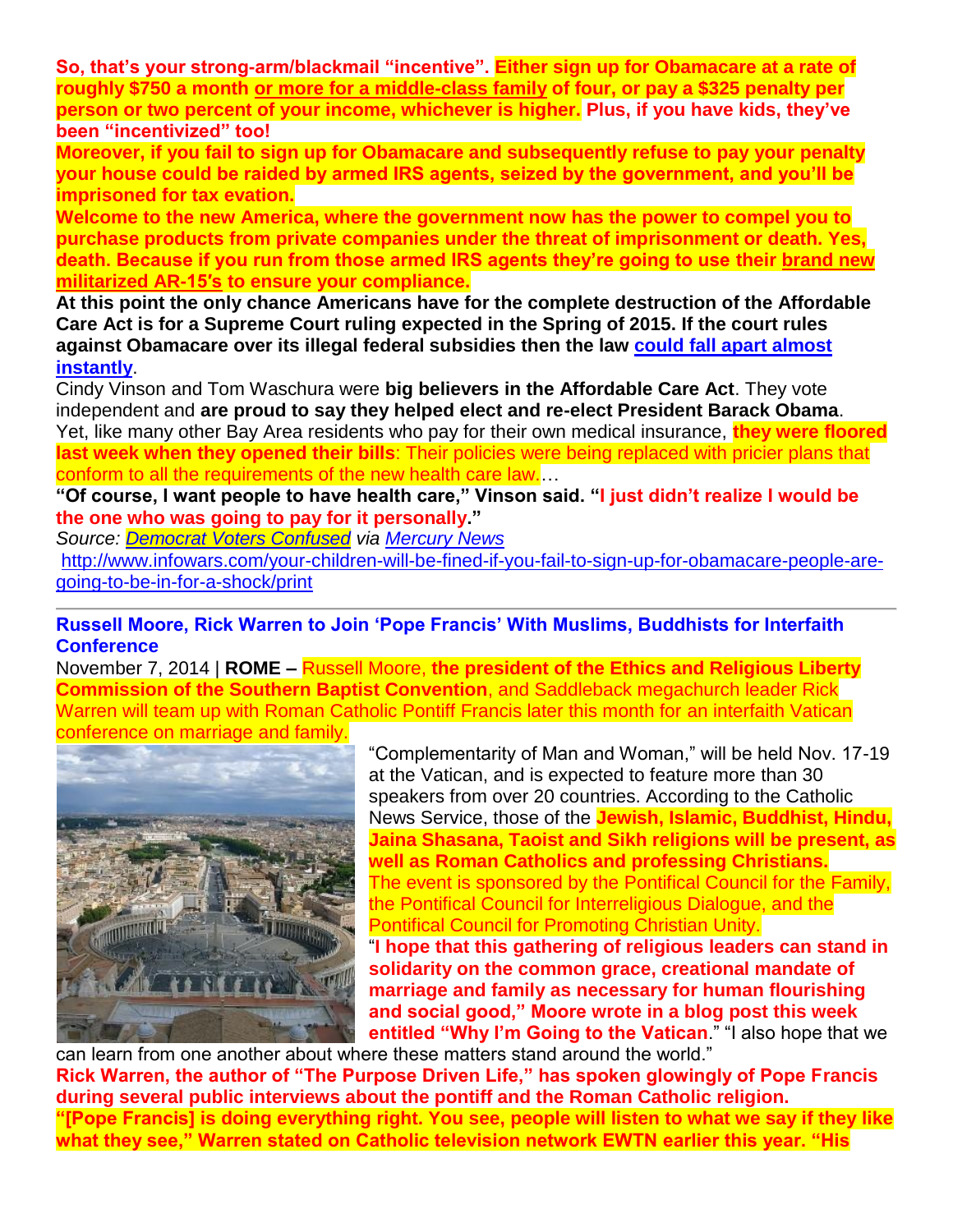**So, that's your strong-arm/blackmail "incentive". Either sign up for Obamacare at a rate of roughly \$750 a month [or more for a middle-class family](http://www.thedailysheeple.com/bend-over-and-cough-some-insurance-rates-to-quadruple-with-obamas-good-deal-on-healthcare_092013) of four, or pay a \$325 penalty per person or two percent of your income, whichever is higher. Plus, if you have kids, they've been "incentivized" too!** 

**Moreover, if you fail to sign up for Obamacare and subsequently refuse to pay your penalty your house could be raided by armed IRS agents, seized by the government, and you'll be imprisoned for tax evation.**

**Welcome to the new America, where the government now has the power to compel you to purchase products from private companies under the threat of imprisonment or death. Yes, death. Because if you run from those armed IRS agents they're going to use their [brand new](http://www.infowars.com/irs-refuses-to-answer-congressman-on-ar-15s-for-standoff-capability/)  [militarized AR-15′s](http://www.infowars.com/irs-refuses-to-answer-congressman-on-ar-15s-for-standoff-capability/) to ensure your compliance.**

**At this point the only chance Americans have for the complete destruction of the Affordable Care Act is for a Supreme Court ruling expected in the Spring of 2015. If the court rules against Obamacare over its illegal federal subsidies then the law [could fall apart almost](http://www.shtfplan.com/headline-news/death-blow-supreme-court-to-rule-on-affordable-care-act-would-utterly-devastate-obamacare_11082014)  [instantly](http://www.shtfplan.com/headline-news/death-blow-supreme-court-to-rule-on-affordable-care-act-would-utterly-devastate-obamacare_11082014)**.

Cindy Vinson and Tom Waschura were **big believers in the Affordable Care Act**. They vote independent and **are proud to say they helped elect and re-elect President Barack Obama**. Yet, like many other Bay Area residents who pay for their own medical insurance, **they were floored last week when they opened their bills**: Their policies were being replaced with pricier plans that conform to all the requirements of the new health care law.…

**"Of course, I want people to have health care," Vinson said. "I just didn't realize I would be the one who was going to pay for it personally."**

*Source: [Democrat Voters Confused](http://www.shtfplan.com/headline-news/democrat-voters-confused-i-didnt-realize-i-would-be-the-one-who-was-going-to-pay-for-it-personally_10072013) via [Mercury News](http://www.mercurynews.com/nation-world/ci_24248486/obamacares-winners-and-losers-bay-area)*

[http://www.infowars.com/your-children-will-be-fined-if-you-fail-to-sign-up-for-obamacare-people-are](http://www.infowars.com/your-children-will-be-fined-if-you-fail-to-sign-up-for-obamacare-people-are-going-to-be-in-for-a-shock/print)[going-to-be-in-for-a-shock/print](http://www.infowars.com/your-children-will-be-fined-if-you-fail-to-sign-up-for-obamacare-people-are-going-to-be-in-for-a-shock/print) 

**Russell Moore, Rick Warren to Join 'Pope Francis' With Muslims, Buddhists for Interfaith Conference**

November 7, 2014 | **ROME –** Russell Moore, **the president of the Ethics and Religious Liberty Commission of the Southern Baptist Convention**, and Saddleback megachurch leader Rick Warren will team up with Roman Catholic Pontiff Francis later this month for an interfaith Vatican conference on marriage and family.



"Complementarity of Man and Woman," will be held Nov. 17-19 at the Vatican, and is expected to feature more than 30 speakers from over 20 countries. According to the Catholic News Service, those of the **Jewish, Islamic, Buddhist, Hindu, Jaina Shasana, Taoist and Sikh religions will be present, as well as Roman Catholics and professing Christians.** The event is sponsored by the Pontifical Council for the Family, the Pontifical Council for Interreligious Dialogue, and the Pontifical Council for Promoting Christian Unity. "**I hope that this gathering of religious leaders can stand in solidarity on the common grace, creational mandate of marriage and family as necessary for human flourishing and social good," Moore wrote in a blog post this week entitled "Why I'm Going to the Vatican**." "I also hope that we

can learn from one another about where these matters stand around the world." **Rick Warren, the author of "The Purpose Driven Life," has spoken glowingly of Pope Francis during several public interviews about the pontiff and the Roman Catholic religion. "[Pope Francis] is doing everything right. You see, people will listen to what we say if they like what they see," Warren stated on Catholic television network EWTN earlier this year. "His**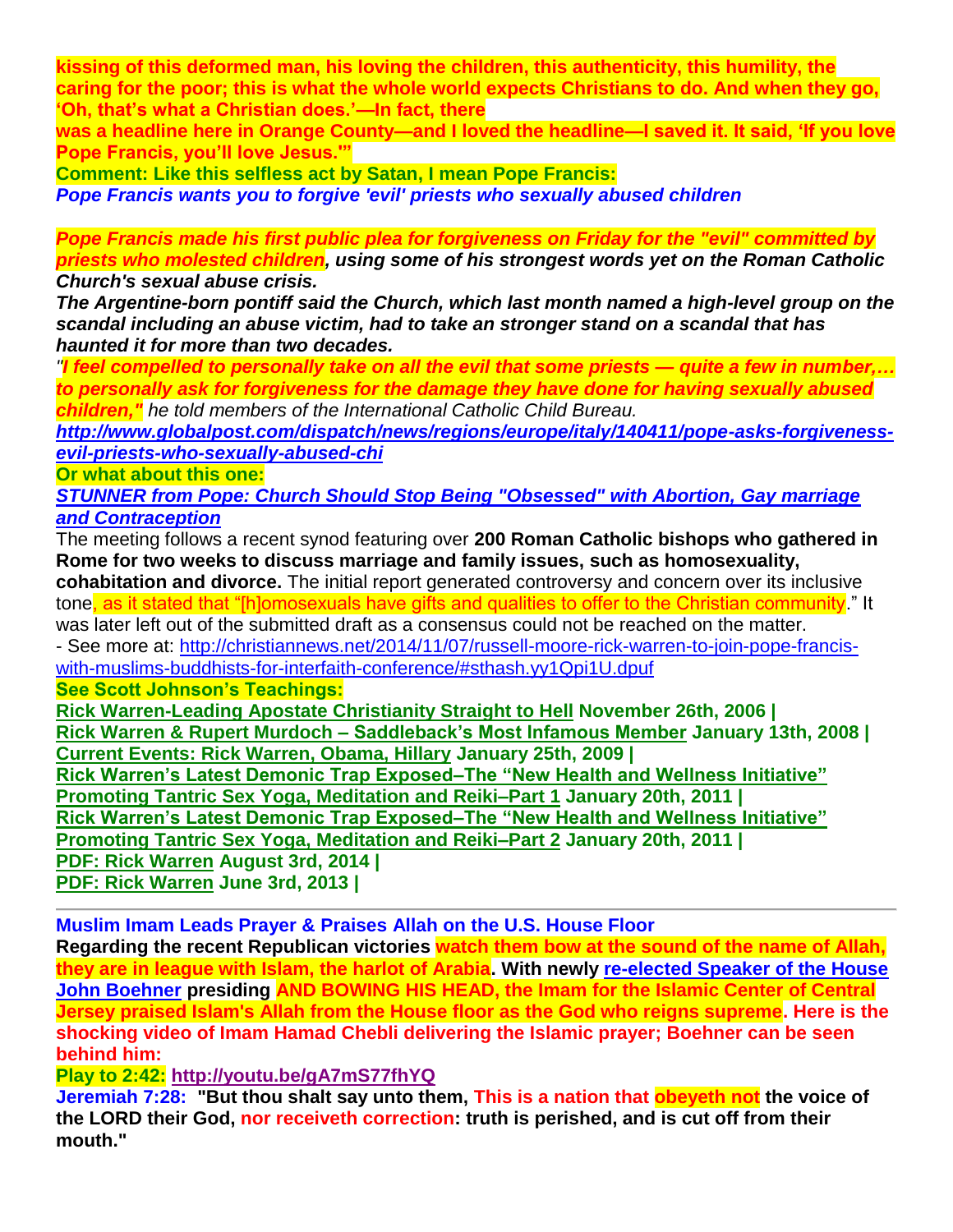**kissing of this deformed man, his loving the children, this authenticity, this humility, the caring for the poor; this is what the whole world expects Christians to do. And when they go, 'Oh, that's what a Christian does.'—In fact, there** 

**was a headline here in Orange County—and I loved the headline—I saved it. It said, 'If you love Pope Francis, you'll love Jesus.'"**

**Comment: Like this selfless act by Satan, I mean Pope Francis:**

*Pope Francis wants you to forgive 'evil' priests who sexually abused children*

*Pope Francis made his first public plea for forgiveness on Friday for the "evil" committed by priests who molested children, using some of his strongest words yet on the Roman Catholic Church's sexual abuse crisis.*

*The Argentine-born pontiff said the Church, which last month named a high-level group on the scandal including an abuse victim, had to take an stronger stand on a scandal that has haunted it for more than two decades.*

*"I feel compelled to personally take on all the evil that some priests — quite a few in number,… to personally ask for forgiveness for the damage they have done for having sexually abused children," he told members of the International Catholic Child Bureau.*

*[http://www.globalpost.com/dispatch/news/regions/europe/italy/140411/pope-asks-forgiveness](http://www.globalpost.com/dispatch/news/regions/europe/italy/140411/pope-asks-forgiveness-evil-priests-who-sexually-abused-chi)[evil-priests-who-sexually-abused-chi](http://www.globalpost.com/dispatch/news/regions/europe/italy/140411/pope-asks-forgiveness-evil-priests-who-sexually-abused-chi)*

**Or what about this one:**

*[STUNNER from Pope: Church Should Stop Being "Obsessed" with Abortion, Gay marriage](http://www.dailykos.com/story/2013/09/19/1239960/-STUNNER-from-Pope-Church-Should-Stop-Being-Obsessed-with-Abortion-Gay-marriage-and-Contraception)  [and Contraception](http://www.dailykos.com/story/2013/09/19/1239960/-STUNNER-from-Pope-Church-Should-Stop-Being-Obsessed-with-Abortion-Gay-marriage-and-Contraception)*

The meeting follows a recent synod featuring over **200 Roman Catholic bishops who gathered in Rome for two weeks to discuss marriage and family issues, such as homosexuality, cohabitation and divorce.** The initial report generated controversy and concern over its inclusive tone, as it stated that "[h]omosexuals have gifts and qualities to offer to the Christian community." It was later left out of the submitted draft as a consensus could not be reached on the matter. - See more at: [http://christiannews.net/2014/11/07/russell-moore-rick-warren-to-join-pope-francis](http://christiannews.net/2014/11/07/russell-moore-rick-warren-to-join-pope-francis-with-muslims-buddhists-for-interfaith-conference/#sthash.yy1Qpi1U.dpuf)[with-muslims-buddhists-for-interfaith-conference/#sthash.yy1Qpi1U.dpuf](http://christiannews.net/2014/11/07/russell-moore-rick-warren-to-join-pope-francis-with-muslims-buddhists-for-interfaith-conference/#sthash.yy1Qpi1U.dpuf) **See Scott Johnson's Teachings: [Rick Warren-Leading Apostate Christianity Straight to Hell](http://www.contendingfortruth.com/?p=1198) November 26th, 2006 | Rick Warren & Rupert Murdoch – [Saddleback's Most Infamous Member](http://www.contendingfortruth.com/?p=1130) January 13th, 2008 |** 

**[Current Events: Rick Warren, Obama, Hillary](http://www.contendingfortruth.com/?p=1065) January 25th, 2009 | [Rick Warren's Latest Demonic Trap Exposed–The "New Health and Wellness Initiative"](http://www.contendingfortruth.com/?p=2511)  [Promoting Tantric Sex Yoga, Meditation and Reiki–Part 1](http://www.contendingfortruth.com/?p=2511) January 20th, 2011 |** 

**[Rick Warren's Latest Demonic Trap Exposed–The "New Health and Wellness Initiative"](http://www.contendingfortruth.com/?p=2506)** 

**[Promoting Tantric Sex Yoga, Meditation and Reiki–Part 2](http://www.contendingfortruth.com/?p=2506) January 20th, 2011 |** 

**[PDF: Rick Warren](http://www.contendingfortruth.com/?attachment_id=7611) August 3rd, 2014 | [PDF: Rick Warren](http://www.contendingfortruth.com/?attachment_id=5144) June 3rd, 2013 |** 

**Muslim Imam Leads Prayer & Praises Allah on the U.S. House Floor**

**Regarding the recent Republican victories watch them bow at the sound of the name of Allah, they are in league with Islam, the harlot of Arabia. With newly [re-elected Speaker of the House](http://freedomoutpost.com/2013/01/boehner-is-re-elected-as-speaker-of-the-house/)  [John Boehner](http://freedomoutpost.com/2013/01/boehner-is-re-elected-as-speaker-of-the-house/) presiding AND BOWING HIS HEAD, the Imam for the Islamic Center of Central Jersey praised Islam's Allah from the House floor as the God who reigns supreme. Here is the shocking video of Imam Hamad Chebli delivering the Islamic prayer; Boehner can be seen behind him:**

**Play to 2:42: <http://youtu.be/gA7mS77fhYQ>**

**Jeremiah 7:28: "But thou shalt say unto them, This is a nation that obeyeth not the voice of the LORD their God, nor receiveth correction: truth is perished, and is cut off from their mouth."**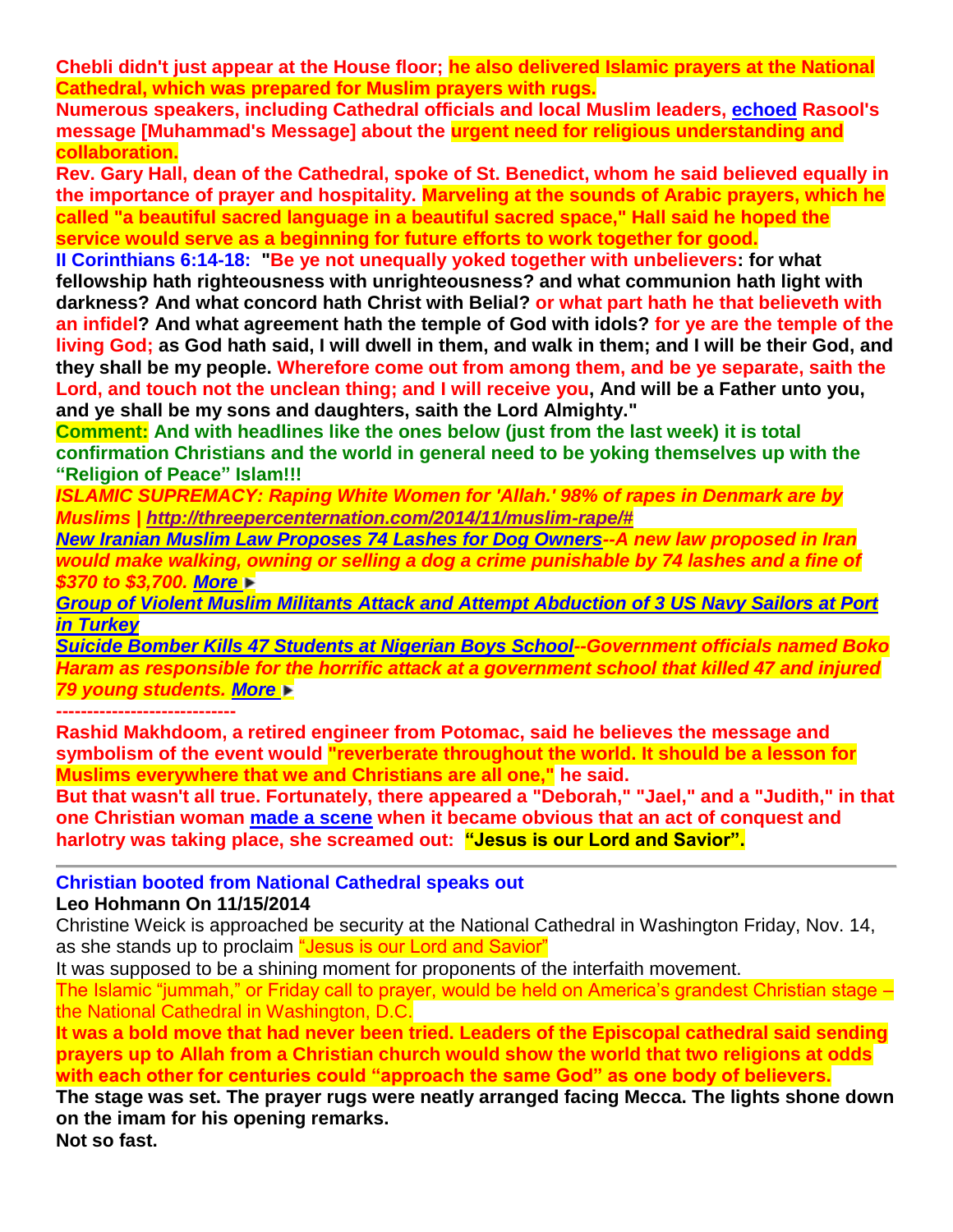**Chebli didn't just appear at the House floor; he also delivered Islamic prayers at the National Cathedral, which was prepared for Muslim prayers with rugs.**

**Numerous speakers, including Cathedral officials and local Muslim leaders, [echoed](http://www.dailynews724.com/local/in-first-recitation-of-muslim-prayers-at-national-cathedral-a-call-for-unity-h308687.html) Rasool's message [Muhammad's Message] about the urgent need for religious understanding and collaboration.**

**Rev. Gary Hall, dean of the Cathedral, spoke of St. Benedict, whom he said believed equally in the importance of prayer and hospitality. Marveling at the sounds of Arabic prayers, which he called "a beautiful sacred language in a beautiful sacred space," Hall said he hoped the service would serve as a beginning for future efforts to work together for good.**

**II Corinthians 6:14-18: "Be ye not unequally yoked together with unbelievers: for what fellowship hath righteousness with unrighteousness? and what communion hath light with darkness? And what concord hath Christ with Belial? or what part hath he that believeth with an infidel? And what agreement hath the temple of God with idols? for ye are the temple of the living God; as God hath said, I will dwell in them, and walk in them; and I will be their God, and they shall be my people. Wherefore come out from among them, and be ye separate, saith the Lord, and touch not the unclean thing; and I will receive you, And will be a Father unto you, and ye shall be my sons and daughters, saith the Lord Almighty."**

**Comment: And with headlines like the ones below (just from the last week) it is total confirmation Christians and the world in general need to be yoking themselves up with the "Religion of Peace" Islam!!!**

*ISLAMIC SUPREMACY: Raping White Women for 'Allah.' 98% of rapes in Denmark are by Muslims | [http://threepercenternation.com/2014/11/muslim-rape/#](http://threepercenternation.com/2014/11/muslim-rape/)*

*[New Iranian Muslim Law Proposes 74 Lashes for Dog Owners-](http://clarionproject.us6.list-manage2.com/track/click?u=6f33facd52316b5c258168da6&id=f9c4ee7943&e=8d0334146f)-A new law proposed in Iran would make walking, owning or selling a dog a crime punishable by 74 lashes and a fine of \$370 to \$3,700. [More](http://clarionproject.us6.list-manage.com/track/click?u=6f33facd52316b5c258168da6&id=bd749655d8&e=8d0334146f)* 

*[Group of Violent Muslim Militants Attack and Attempt Abduction of 3 US Navy Sailors at Port](http://shariaunveiled.wordpress.com/2014/11/12/group-of-violent-muslim-militants-attack-and-attempt-abduction-of-3-us-navy-sailors-at-port-in-turkey/)  in [Turkey](http://shariaunveiled.wordpress.com/2014/11/12/group-of-violent-muslim-militants-attack-and-attempt-abduction-of-3-us-navy-sailors-at-port-in-turkey/)*

*[Suicide Bomber Kills 47 Students at Nigerian Boys School-](http://clarionproject.us6.list-manage1.com/track/click?u=6f33facd52316b5c258168da6&id=2aab9b3db1&e=8d0334146f)-Government officials named Boko Haram as responsible for the horrific attack at a government school that killed 47 and injured 79 young students. [More](http://clarionproject.us6.list-manage2.com/track/click?u=6f33facd52316b5c258168da6&id=8da3658e9a&e=8d0334146f)* 

**-----------------------------**

**Rashid Makhdoom, a retired engineer from Potomac, said he believes the message and symbolism of the event would "reverberate throughout the world. It should be a lesson for Muslims everywhere that we and Christians are all one," he said.** 

**But that wasn't all true. Fortunately, there appeared a "Deborah," "Jael," and a "Judith," in that one Christian woman [made a scene](http://washington.cbslocal.com/2014/11/14/woman-shouts-about-christ-at-1st-muslim-prayer-at-national-cathedral/http:/freedomoutpost.com/?p=28739) when it became obvious that an act of conquest and harlotry was taking place, she screamed out: "Jesus is our Lord and Savior".**

**Christian booted from National Cathedral speaks out**

# **Leo Hohmann On 11/15/2014**

Christine Weick is approached be security at the National Cathedral in Washington Friday, Nov. 14, as she stands up to proclaim "Jesus is our Lord and Savior"

It was supposed to be a shining moment for proponents of the interfaith movement.

The Islamic "jummah," or Friday call to prayer, would be held on America's grandest Christian stage – the National Cathedral in Washington, D.C.

**It was a bold move that had never been tried. Leaders of the Episcopal cathedral said sending prayers up to Allah from a Christian church would show the world that two religions at odds with each other for centuries could "approach the same God" as one body of believers.**

**The stage was set. The prayer rugs were neatly arranged facing Mecca. The lights shone down on the imam for his opening remarks.**

**Not so fast.**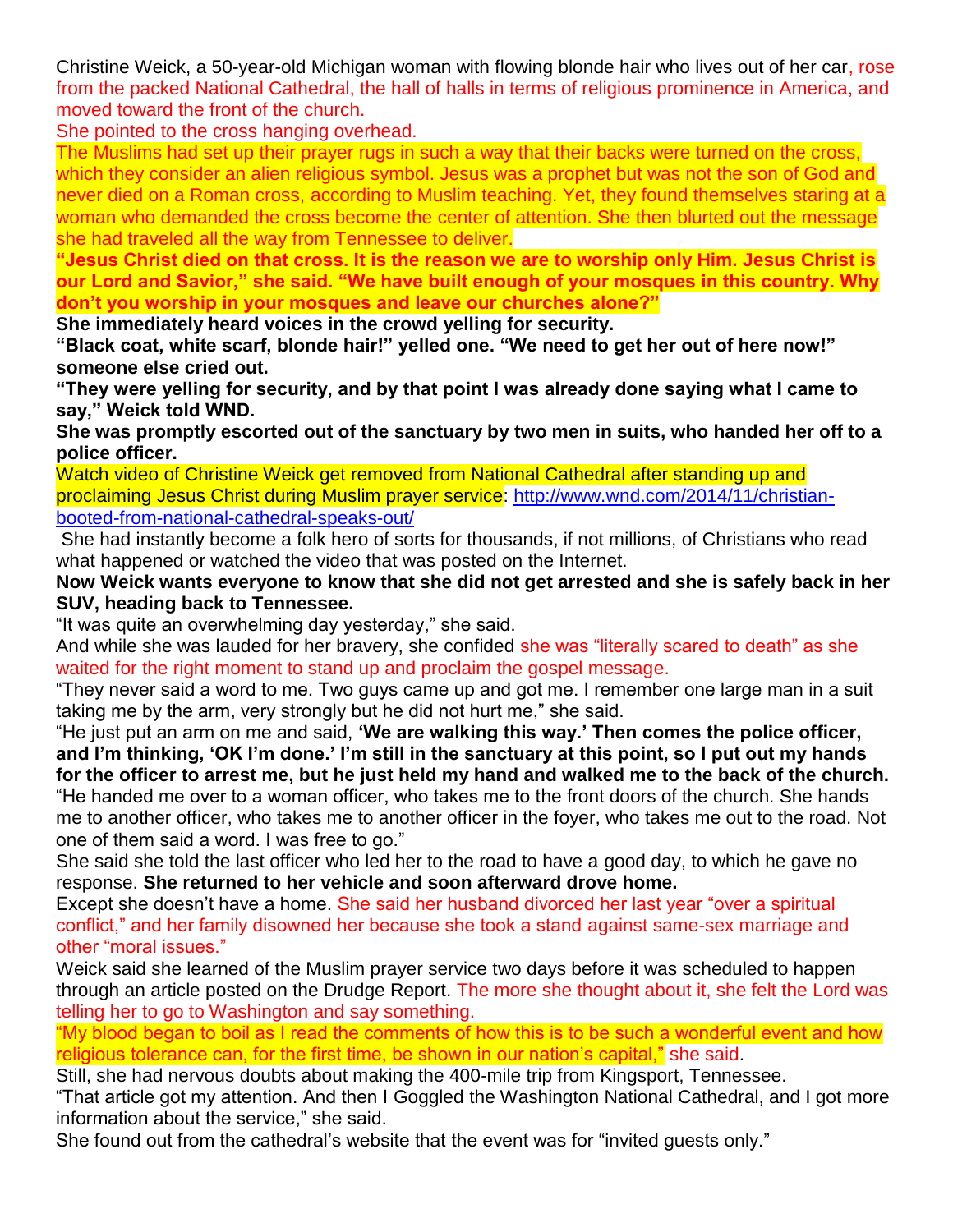Christine Weick, a 50-year-old Michigan woman with flowing blonde hair who lives out of her car, rose from the packed National Cathedral, the hall of halls in terms of religious prominence in America, and moved toward the front of the church.

She pointed to the cross hanging overhead.

The Muslims had set up their prayer rugs in such a way that their backs were turned on the cross, which they consider an alien religious symbol. Jesus was a prophet but was not the son of God and never died on a Roman cross, according to Muslim teaching. Yet, they found themselves staring at a woman who demanded the cross become the center of attention. She then blurted out the message she had traveled all the way from Tennessee to deliver.

**"Jesus Christ died on that cross. It is the reason we are to worship only Him. Jesus Christ is our Lord and Savior," she said. "We have built enough of your mosques in this country. Why don't you worship in your mosques and leave our churches alone?"**

**She immediately heard voices in the crowd yelling for security.**

**"Black coat, white scarf, blonde hair!" yelled one. "We need to get her out of here now!" someone else cried out.**

**"They were yelling for security, and by that point I was already done saying what I came to say," Weick told WND.**

**She was promptly escorted out of the sanctuary by two men in suits, who handed her off to a police officer.**

Watch video of Christine Weick get removed from National Cathedral after standing up and proclaiming Jesus Christ during Muslim prayer service: [http://www.wnd.com/2014/11/christian](http://www.wnd.com/2014/11/christian-booted-from-national-cathedral-speaks-out/)[booted-from-national-cathedral-speaks-out/](http://www.wnd.com/2014/11/christian-booted-from-national-cathedral-speaks-out/)

She had instantly become a folk hero of sorts for thousands, if not millions, of Christians who read what happened or watched the video that was posted on the Internet.

**Now Weick wants everyone to know that she did not get arrested and she is safely back in her SUV, heading back to Tennessee.**

"It was quite an overwhelming day yesterday," she said.

And while she was lauded for her bravery, she confided she was "literally scared to death" as she waited for the right moment to stand up and proclaim the gospel message.

"They never said a word to me. Two guys came up and got me. I remember one large man in a suit taking me by the arm, very strongly but he did not hurt me," she said.

"He just put an arm on me and said, **'We are walking this way.' Then comes the police officer, and I'm thinking, 'OK I'm done.' I'm still in the sanctuary at this point, so I put out my hands for the officer to arrest me, but he just held my hand and walked me to the back of the church.** "He handed me over to a woman officer, who takes me to the front doors of the church. She hands me to another officer, who takes me to another officer in the foyer, who takes me out to the road. Not

one of them said a word. I was free to go."

She said she told the last officer who led her to the road to have a good day, to which he gave no response. **She returned to her vehicle and soon afterward drove home.**

Except she doesn't have a home. She said her husband divorced her last year "over a spiritual conflict," and her family disowned her because she took a stand against same-sex marriage and other "moral issues."

Weick said she learned of the Muslim prayer service two days before it was scheduled to happen through an article posted on the Drudge Report. The more she thought about it, she felt the Lord was telling her to go to Washington and say something.

"My blood began to boil as I read the comments of how this is to be such a wonderful event and how religious tolerance can, for the first time, be shown in our nation's capital," she said.

Still, she had nervous doubts about making the 400-mile trip from Kingsport, Tennessee.

"That article got my attention. And then I Goggled the Washington National Cathedral, and I got more information about the service," she said.

She found out from the cathedral's website that the event was for "invited guests only."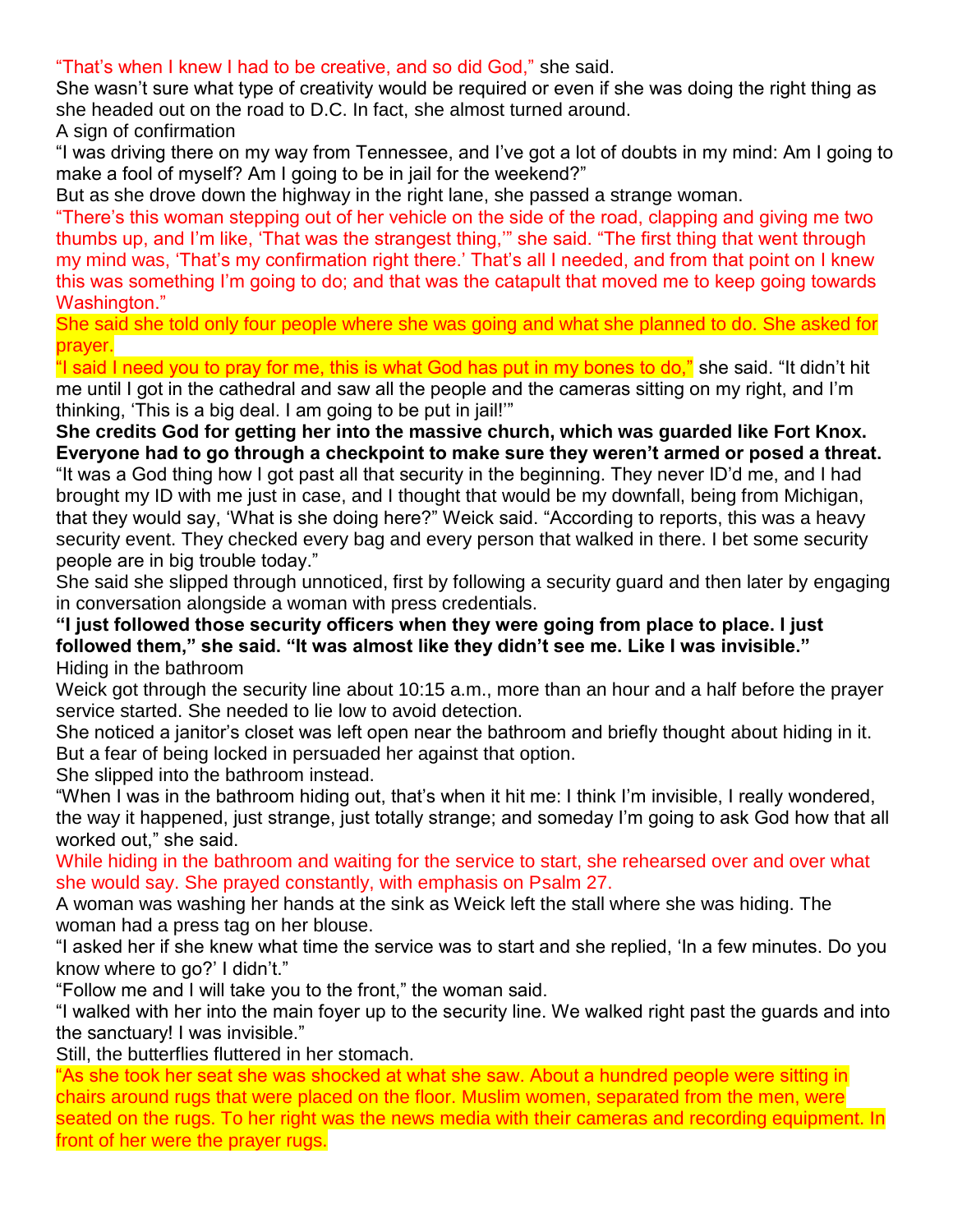"That's when I knew I had to be creative, and so did God," she said.

She wasn't sure what type of creativity would be required or even if she was doing the right thing as she headed out on the road to D.C. In fact, she almost turned around.

A sign of confirmation

"I was driving there on my way from Tennessee, and I've got a lot of doubts in my mind: Am I going to make a fool of myself? Am I going to be in jail for the weekend?"

But as she drove down the highway in the right lane, she passed a strange woman.

"There's this woman stepping out of her vehicle on the side of the road, clapping and giving me two thumbs up, and I'm like, 'That was the strangest thing,'" she said. "The first thing that went through my mind was, 'That's my confirmation right there.' That's all I needed, and from that point on I knew this was something I'm going to do; and that was the catapult that moved me to keep going towards Washington."

She said she told only four people where she was going and what she planned to do. She asked for prayer.

"I said I need you to pray for me, this is what God has put in my bones to do," she said. "It didn't hit me until I got in the cathedral and saw all the people and the cameras sitting on my right, and I'm thinking, 'This is a big deal. I am going to be put in jail!'"

**She credits God for getting her into the massive church, which was guarded like Fort Knox. Everyone had to go through a checkpoint to make sure they weren't armed or posed a threat.** "It was a God thing how I got past all that security in the beginning. They never ID'd me, and I had brought my ID with me just in case, and I thought that would be my downfall, being from Michigan, that they would say, 'What is she doing here?" Weick said. "According to reports, this was a heavy security event. They checked every bag and every person that walked in there. I bet some security people are in big trouble today."

She said she slipped through unnoticed, first by following a security guard and then later by engaging in conversation alongside a woman with press credentials.

**"I just followed those security officers when they were going from place to place. I just followed them," she said. "It was almost like they didn't see me. Like I was invisible."** Hiding in the bathroom

Weick got through the security line about 10:15 a.m., more than an hour and a half before the prayer service started. She needed to lie low to avoid detection.

She noticed a janitor's closet was left open near the bathroom and briefly thought about hiding in it. But a fear of being locked in persuaded her against that option.

She slipped into the bathroom instead.

"When I was in the bathroom hiding out, that's when it hit me: I think I'm invisible, I really wondered, the way it happened, just strange, just totally strange; and someday I'm going to ask God how that all worked out," she said.

While hiding in the bathroom and waiting for the service to start, she rehearsed over and over what she would say. She prayed constantly, with emphasis on Psalm 27.

A woman was washing her hands at the sink as Weick left the stall where she was hiding. The woman had a press tag on her blouse.

"I asked her if she knew what time the service was to start and she replied, 'In a few minutes. Do you know where to go?' I didn't."

"Follow me and I will take you to the front," the woman said.

"I walked with her into the main foyer up to the security line. We walked right past the guards and into the sanctuary! I was invisible."

Still, the butterflies fluttered in her stomach.

"As she took her seat she was shocked at what she saw. About a hundred people were sitting in chairs around rugs that were placed on the floor. Muslim women, separated from the men, were seated on the rugs. To her right was the news media with their cameras and recording equipment. In front of her were the prayer rugs.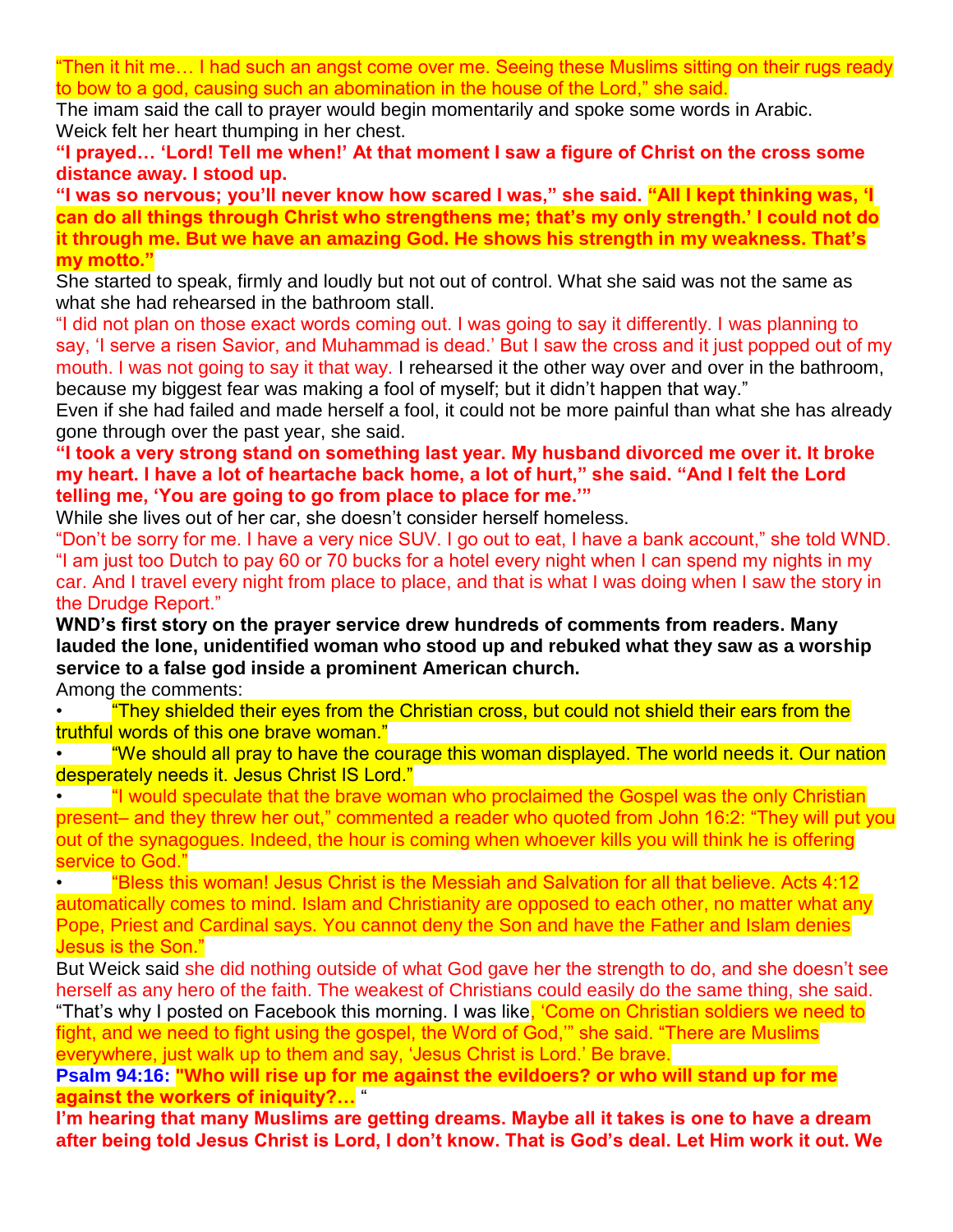"Then it hit me… I had such an angst come over me. Seeing these Muslims sitting on their rugs ready to bow to a god, causing such an abomination in the house of the Lord," she said.

The imam said the call to prayer would begin momentarily and spoke some words in Arabic. Weick felt her heart thumping in her chest.

**"I prayed… 'Lord! Tell me when!' At that moment I saw a figure of Christ on the cross some distance away. I stood up.**

**"I was so nervous; you'll never know how scared I was," she said. "All I kept thinking was, 'I can do all things through Christ who strengthens me; that's my only strength.' I could not do it through me. But we have an amazing God. He shows his strength in my weakness. That's my motto."**

She started to speak, firmly and loudly but not out of control. What she said was not the same as what she had rehearsed in the bathroom stall.

"I did not plan on those exact words coming out. I was going to say it differently. I was planning to say, 'I serve a risen Savior, and Muhammad is dead.' But I saw the cross and it just popped out of my mouth. I was not going to say it that way. I rehearsed it the other way over and over in the bathroom, because my biggest fear was making a fool of myself; but it didn't happen that way."

Even if she had failed and made herself a fool, it could not be more painful than what she has already gone through over the past year, she said.

**"I took a very strong stand on something last year. My husband divorced me over it. It broke my heart. I have a lot of heartache back home, a lot of hurt," she said. "And I felt the Lord telling me, 'You are going to go from place to place for me.'"**

While she lives out of her car, she doesn't consider herself homeless.

"Don't be sorry for me. I have a very nice SUV. I go out to eat, I have a bank account," she told WND. "I am just too Dutch to pay 60 or 70 bucks for a hotel every night when I can spend my nights in my car. And I travel every night from place to place, and that is what I was doing when I saw the story in the Drudge Report."

**WND's first story on the prayer service drew hundreds of comments from readers. Many lauded the lone, unidentified woman who stood up and rebuked what they saw as a worship service to a false god inside a prominent American church.** Among the comments:

• "They shielded their eyes from the Christian cross, but could not shield their ears from the truthful words of this one brave woman."

• "We should all pray to have the courage this woman displayed. The world needs it. Our nation desperately needs it. Jesus Christ IS Lord."

• "I would speculate that the brave woman who proclaimed the Gospel was the only Christian present– and they threw her out," commented a reader who quoted from John 16:2: "They will put you out of the synagogues. Indeed, the hour is coming when whoever kills you will think he is offering service to God."

• "Bless this woman! Jesus Christ is the Messiah and Salvation for all that believe. Acts 4:12 automatically comes to mind. Islam and Christianity are opposed to each other, no matter what any Pope, Priest and Cardinal says. You cannot deny the Son and have the Father and Islam denies Jesus is the Son."

But Weick said she did nothing outside of what God gave her the strength to do, and she doesn't see herself as any hero of the faith. The weakest of Christians could easily do the same thing, she said. "That's why I posted on Facebook this morning. I was like<mark>, 'Come on Christian soldiers we need to</mark> fight, and we need to fight using the gospel, the Word of God,'" she said. "There are Muslims everywhere, just walk up to them and say, 'Jesus Christ is Lord.' Be brave.

**Psalm 94:16: "Who will rise up for me against the evildoers? or who will stand up for me against the workers of iniquity?…** "

**I'm hearing that many Muslims are getting dreams. Maybe all it takes is one to have a dream after being told Jesus Christ is Lord, I don't know. That is God's deal. Let Him work it out. We**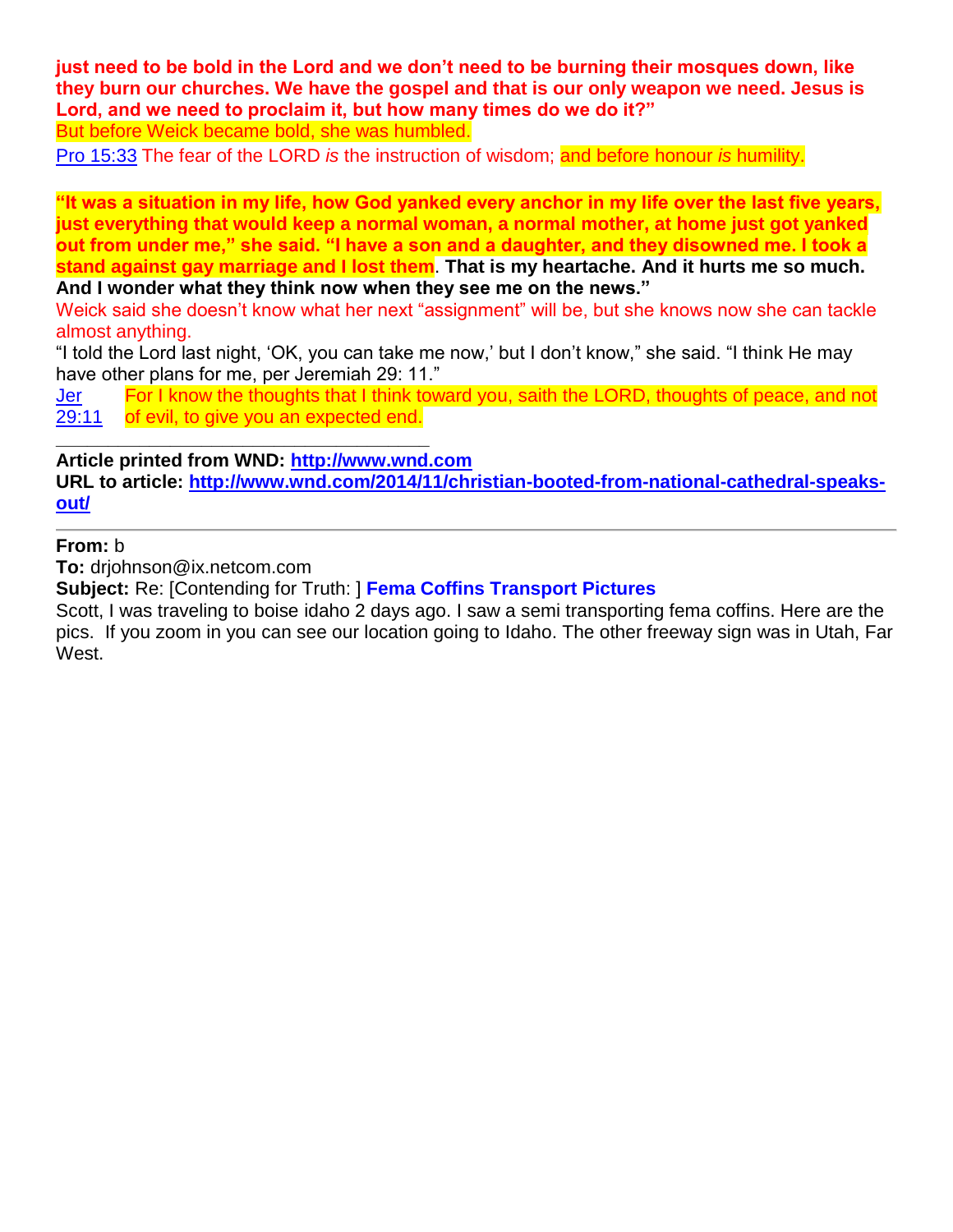**just need to be bold in the Lord and we don't need to be burning their mosques down, like they burn our churches. We have the gospel and that is our only weapon we need. Jesus is Lord, and we need to proclaim it, but how many times do we do it?"** But before Weick became bold, she was humbled.

[Pro 15:33](http://www.blueletterbible.org/Bible.cfm?b=Pro&c=15&v=33&t=KJV#s=643033) The fear of the LORD *is* the instruction of wisdom; and before honour *is* humility.

**"It was a situation in my life, how God yanked every anchor in my life over the last five years, just everything that would keep a normal woman, a normal mother, at home just got yanked out from under me," she said. "I have a son and a daughter, and they disowned me. I took a stand against gay marriage and I lost them**. **That is my heartache. And it hurts me so much. And I wonder what they think now when they see me on the news."**

Weick said she doesn't know what her next "assignment" will be, but she knows now she can tackle almost anything.

"I told the Lord last night, 'OK, you can take me now,' but I don't know," she said. "I think He may have other plans for me, per Jeremiah 29: 11."

[Jer](http://www.blueletterbible.org/Bible.cfm?b=Jer&c=29&v=11&t=KJV#s=774011)  [29:11](http://www.blueletterbible.org/Bible.cfm?b=Jer&c=29&v=11&t=KJV#s=774011) For I know the thoughts that I think toward you, saith the LORD, thoughts of peace, and not of evil, to give you an expected end.

**Article printed from WND: [http://www.wnd.com](http://www.wnd.com/)**

**\_\_\_\_\_\_\_\_\_\_\_\_\_\_\_\_\_\_\_\_\_\_\_\_\_\_\_\_\_\_\_\_\_\_\_\_**

**URL to article: [http://www.wnd.com/2014/11/christian-booted-from-national-cathedral-speaks](http://www.wnd.com/2014/11/christian-booted-from-national-cathedral-speaks-out/)[out/](http://www.wnd.com/2014/11/christian-booted-from-national-cathedral-speaks-out/)**

**From:** b

**To:** drjohnson@ix.netcom.com

**Subject:** Re: [Contending for Truth: ] **Fema Coffins Transport Pictures**

Scott, I was traveling to boise idaho 2 days ago. I saw a semi transporting fema coffins. Here are the pics. If you zoom in you can see our location going to Idaho. The other freeway sign was in Utah, Far West.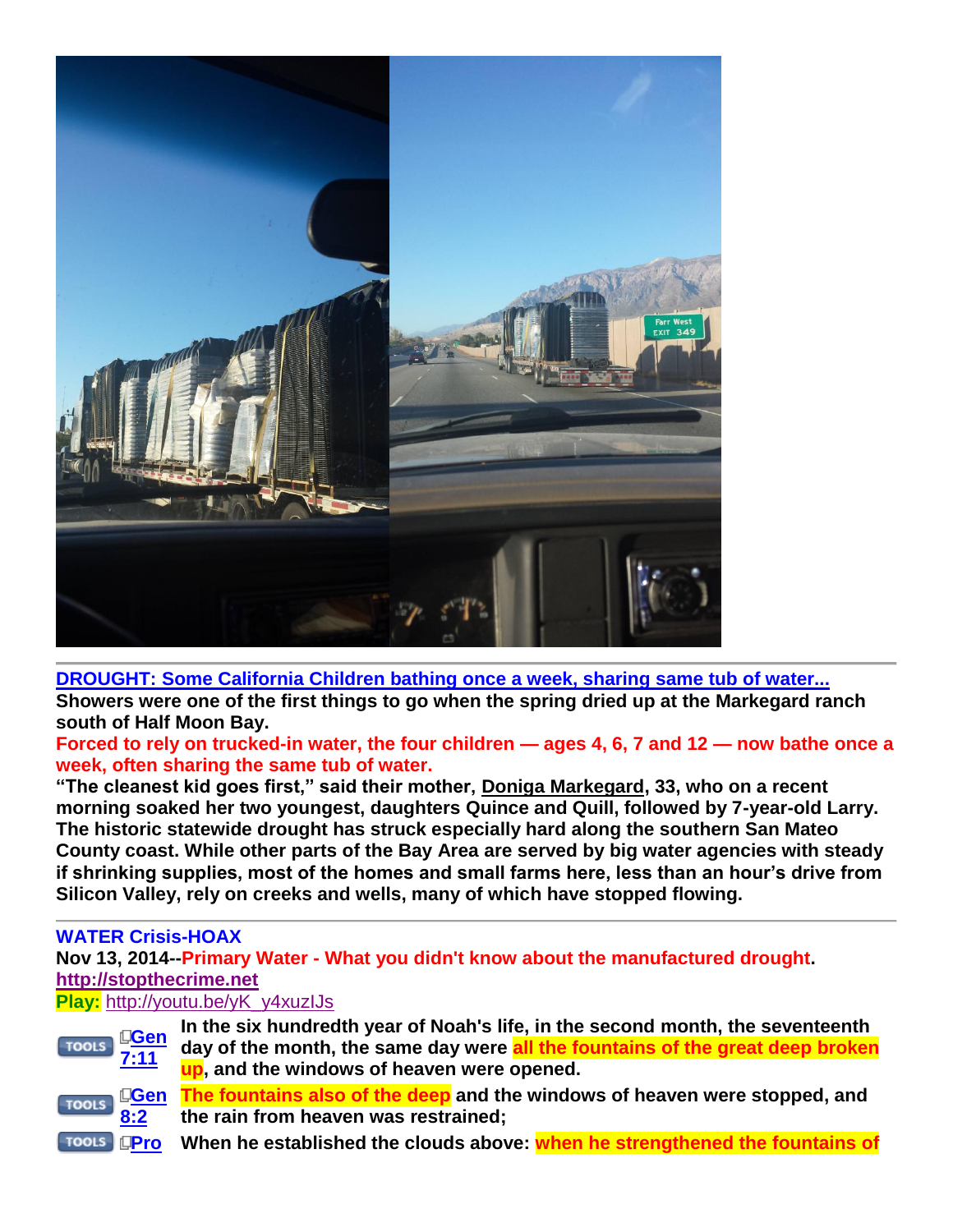

**[DROUGHT: Some California Children bathing once a week, sharing same tub of water...](http://www.sfgate.com/bayarea/article/California-drought-hits-San-Mateo-County-coast-5896053.php) Showers were one of the first things to go when the spring dried up at the Markegard ranch south of Half Moon Bay.** 

**Forced to rely on trucked-in water, the four children — ages 4, 6, 7 and 12 — now bathe once a week, often sharing the same tub of water.** 

**"The cleanest kid goes first," said their mother, [Doniga Markegard,](http://www.sfgate.com/search/?action=search&channel=bayarea&inlineLink=1&searchindex=gsa&query=%22Doniga+Markegard%22) 33, who on a recent morning soaked her two youngest, daughters Quince and Quill, followed by 7-year-old Larry. The historic statewide drought has struck especially hard along the southern San Mateo County coast. While other parts of the Bay Area are served by big water agencies with steady if shrinking supplies, most of the homes and small farms here, less than an hour's drive from Silicon Valley, rely on creeks and wells, many of which have stopped flowing.**

# **WATER Crisis-HOAX**

**Nov 13, 2014--Primary Water - What you didn't know about the manufactured drought. [http://stopthecrime.net](http://stopthecrime.net/)**

# **Play:** [http://youtu.be/yK\\_y4xuzIJs](http://youtu.be/yK_y4xuzIJs)



**In the six hundredth year of Noah's life, in the second month, the seventeenth day of the month, the same day were all the fountains of the great deep broken up, and the windows of heaven were opened.**

**[Gen](http://www.blueletterbible.org/Bible.cfm?b=Gen&c=8&v=2&t=KJV#s=8002)  The fountains also of the deep and the windows of heaven were stopped, and the rain from heaven was restrained;**

**[Pro](http://www.blueletterbible.org/Bible.cfm?b=Pro&c=8&v=28&t=KJV#s=636028) When he established the clouds above: when he strengthened the fountains of**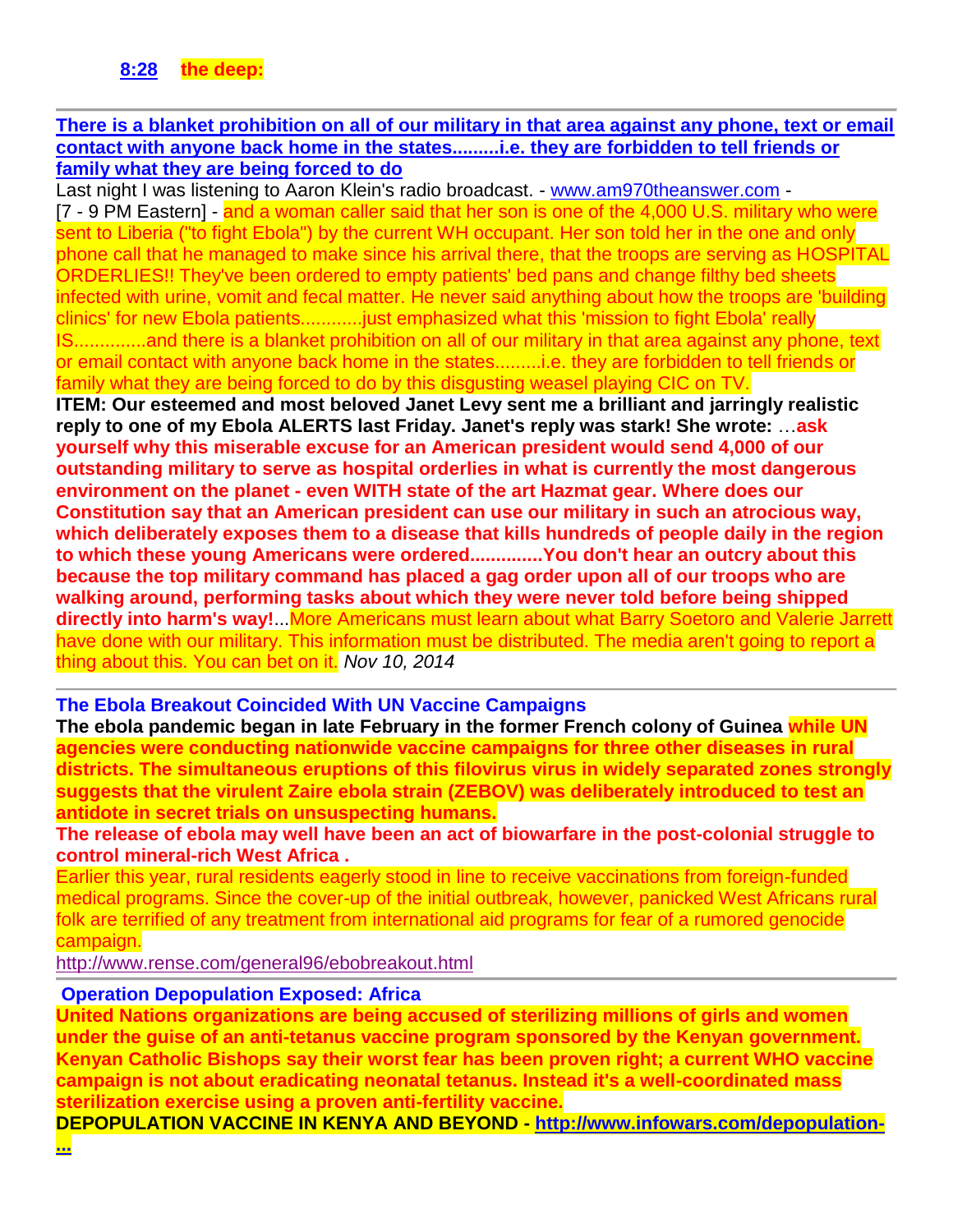#### **[There is a blanket prohibition on all of our military in that area against any phone, text or email](http://www.stevequayle.com/index.php?s=33&d=1203)  [contact with anyone back home in the states.........i.e. they are forbidden to tell friends or](http://www.stevequayle.com/index.php?s=33&d=1203)  [family what they are being forced to do](http://www.stevequayle.com/index.php?s=33&d=1203)**

Last night I was listening to Aaron Klein's radio broadcast. - [www.am970theanswer.com](http://www.am970theanswer.com/) -[7 - 9 PM Eastern] - and a woman caller said that her son is one of the 4,000 U.S. military who were sent to Liberia ("to fight Ebola") by the current WH occupant. Her son told her in the one and only phone call that he managed to make since his arrival there, that the troops are serving as HOSPITAL ORDERLIES!! They've been ordered to empty patients' bed pans and change filthy bed sheets infected with urine, vomit and fecal matter. He never said anything about how the troops are 'building clinics' for new Ebola patients............just emphasized what this 'mission to fight Ebola' really IS..............and there is a blanket prohibition on all of our military in that area against any phone, text or email contact with anyone back home in the states.........i.e. they are forbidden to tell friends or family what they are being forced to do by this disgusting weasel playing CIC on TV. **ITEM: Our esteemed and most beloved Janet Levy sent me a brilliant and jarringly realistic reply to one of my Ebola ALERTS last Friday. Janet's reply was stark! She wrote:** …**ask yourself why this miserable excuse for an American president would send 4,000 of our outstanding military to serve as hospital orderlies in what is currently the most dangerous environment on the planet - even WITH state of the art Hazmat gear. Where does our Constitution say that an American president can use our military in such an atrocious way, which deliberately exposes them to a disease that kills hundreds of people daily in the region to which these young Americans were ordered..............You don't hear an outcry about this because the top military command has placed a gag order upon all of our troops who are walking around, performing tasks about which they were never told before being shipped directly into harm's way!**...More Americans must learn about what Barry Soetoro and Valerie Jarrett have done with our military. This information must be distributed. The media aren't going to report a thing about this. You can bet on it. *Nov 10, 2014*

### **The Ebola Breakout Coincided With UN Vaccine Campaigns**

**The ebola pandemic began in late February in the former French colony of Guinea while UN agencies were conducting nationwide vaccine campaigns for three other diseases in rural districts. The simultaneous eruptions of this filovirus virus in widely separated zones strongly suggests that the virulent Zaire ebola strain (ZEBOV) was deliberately introduced to test an antidote in secret trials on unsuspecting humans.**

**The release of ebola may well have been an act of biowarfare in the post-colonial struggle to control mineral-rich West Africa .**

Earlier this year, rural residents eagerly stood in line to receive vaccinations from foreign-funded medical programs. Since the cover-up of the initial outbreak, however, panicked West Africans rural folk are terrified of any treatment from international aid programs for fear of a rumored genocide campaign.

<http://www.rense.com/general96/ebobreakout.html>

#### **Operation Depopulation Exposed: Africa**

**United Nations organizations are being accused of sterilizing millions of girls and women under the guise of an anti-tetanus vaccine program sponsored by the Kenyan government. Kenyan Catholic Bishops say their worst fear has been proven right; a current WHO vaccine campaign is not about eradicating neonatal tetanus. Instead it's a well-coordinated mass sterilization exercise using a proven anti-fertility vaccine.**

**DEPOPULATION VACCINE IN KENYA AND BEYOND - [http://www.infowars.com/depopulation-](http://www.infowars.com/depopulation-vaccine-in-kenya-and-beyond/)**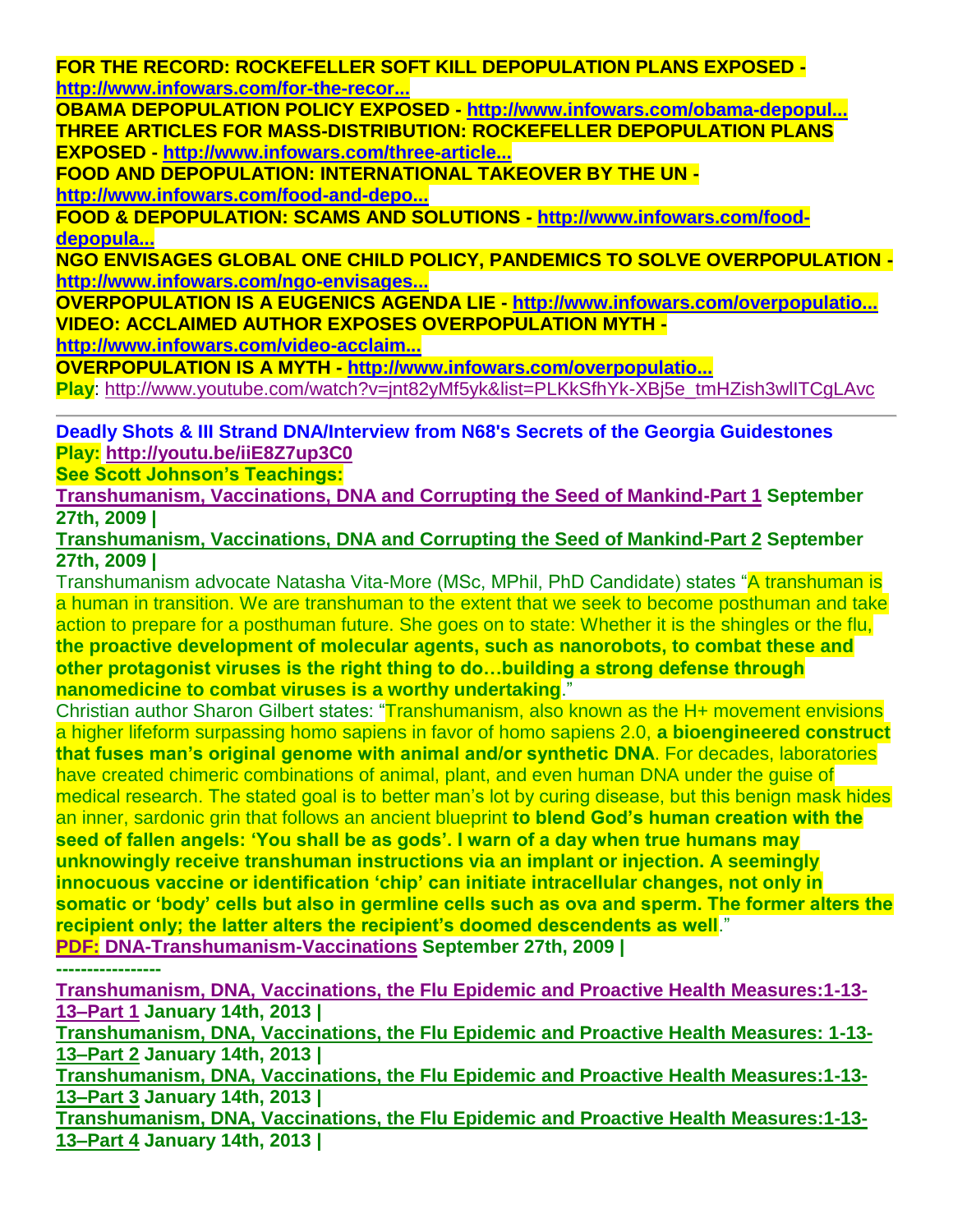**FOR THE RECORD: ROCKEFELLER SOFT KILL DEPOPULATION PLANS EXPOSED [http://www.infowars.com/for-the-recor...](http://www.infowars.com/for-the-record-rockefeller-soft-kill-depopulation-plans-exposed/)**

**OBAMA DEPOPULATION POLICY EXPOSED - [http://www.infowars.com/obama-depopul...](http://www.infowars.com/obama-depopulation-policy-exposed/) THREE ARTICLES FOR MASS-DISTRIBUTION: ROCKEFELLER DEPOPULATION PLANS EXPOSED - [http://www.infowars.com/three-article...](http://www.infowars.com/three-articles-for-mass-distribution-rockefeller-depopulation-plans-exposed/)**

**FOOD AND DEPOPULATION: INTERNATIONAL TAKEOVER BY THE UN [http://www.infowars.com/food-and-depo...](http://www.infowars.com/food-and-depopulation-international-takeover-by-the-un/)**

**FOOD & DEPOPULATION: SCAMS AND SOLUTIONS - [http://www.infowars.com/food](http://www.infowars.com/food-depopulation-scams-and-solutions/)[depopula...](http://www.infowars.com/food-depopulation-scams-and-solutions/)**

**NGO ENVISAGES GLOBAL ONE CHILD POLICY, PANDEMICS TO SOLVE OVERPOPULATION [http://www.infowars.com/ngo-envisages...](http://www.infowars.com/ngo-envisages-global-one-child-policy-pandemics-to-solve-overpopulation/)**

**OVERPOPULATION IS A EUGENICS AGENDA LIE - [http://www.infowars.com/overpopulatio...](http://www.infowars.com/overpopulation-is-a-eugenics-agenda-lie/) VIDEO: ACCLAIMED AUTHOR EXPOSES OVERPOPULATION MYTH -**

**[http://www.infowars.com/video-acclaim...](http://www.infowars.com/video-acclaimed-author-exposes-overpopulation-myth/)**

**OVERPOPULATION IS A MYTH - [http://www.infowars.com/overpopulatio...](http://www.infowars.com/overpopulation-is-a-myth/)**

**Play**: [http://www.youtube.com/watch?v=jnt82yMf5yk&list=PLKkSfhYk-XBj5e\\_tmHZish3wlITCgLAvc](http://www.youtube.com/watch?v=jnt82yMf5yk&list=PLKkSfhYk-XBj5e_tmHZish3wlITCgLAvc)

**Deadly Shots & III Strand DNA/Interview from N68's Secrets of the Georgia Guidestones Play: <http://youtu.be/iiE8Z7up3C0>**

**See Scott Johnson's Teachings:**

**[Transhumanism, Vaccinations, DNA and Corrupting the Seed of Mankind-Part 1](http://www.contendingfortruth.com/?p=1031) September 27th, 2009 |** 

**[Transhumanism, Vaccinations, DNA and Corrupting the Seed of Mankind-Part 2](http://www.contendingfortruth.com/?p=6809) September 27th, 2009 |** 

Transhumanism advocate Natasha Vita-More (MSc, MPhil, PhD Candidate) states "A transhuman is a human in transition. We are transhuman to the extent that we seek to become posthuman and take action to prepare for a posthuman future. She goes on to state: Whether it is the shingles or the flu, **the proactive development of molecular agents, such as nanorobots, to combat these and other protagonist viruses is the right thing to do…building a strong defense through nanomedicine to combat viruses is a worthy undertaking**."

Christian author Sharon Gilbert states: "Transhumanism, also known as the H+ movement envisions a higher lifeform surpassing homo sapiens in favor of homo sapiens 2.0, **a bioengineered construct that fuses man's original genome with animal and/or synthetic DNA**. For decades, laboratories have created chimeric combinations of animal, plant, and even human DNA under the guise of medical research. The stated goal is to better man's lot by curing disease, but this benign mask hides an inner, sardonic grin that follows an ancient blueprint **to blend God's human creation with the seed of fallen angels: 'You shall be as gods'. I warn of a day when true humans may unknowingly receive transhuman instructions via an implant or injection. A seemingly innocuous vaccine or identification 'chip' can initiate intracellular changes, not only in somatic or 'body' cells but also in germline cells such as ova and sperm. The former alters the recipient only; the latter alters the recipient's doomed descendents as well**." **PDF: [DNA-Transhumanism-Vaccinations](http://www.contendingfortruth.com/?attachment_id=6807) September 27th, 2009 |** 

**-----------------**

**[Transhumanism, DNA, Vaccinations, the Flu Epidemic and Proactive Health Measures:1-13-](http://www.contendingfortruth.com/?p=4774) [13–Part 1](http://www.contendingfortruth.com/?p=4774) January 14th, 2013 |** 

**[Transhumanism, DNA, Vaccinations, the Flu Epidemic and Proactive Health Measures: 1-13-](http://www.contendingfortruth.com/?p=4768) [13–Part 2](http://www.contendingfortruth.com/?p=4768) January 14th, 2013 |** 

**[Transhumanism, DNA, Vaccinations, the Flu Epidemic and Proactive Health Measures:1-13-](http://www.contendingfortruth.com/?p=4763) [13–Part 3](http://www.contendingfortruth.com/?p=4763) January 14th, 2013 |** 

**[Transhumanism, DNA, Vaccinations, the Flu Epidemic and Proactive Health Measures:1-13-](http://www.contendingfortruth.com/?p=4757) [13–Part 4](http://www.contendingfortruth.com/?p=4757) January 14th, 2013 |**